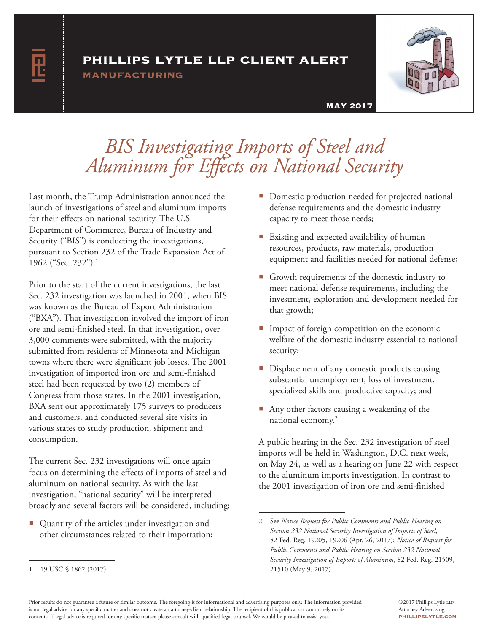### phillips lytle llp client alert

manufacturing



#### MAY 2017

## *BIS Investigating Imports of Steel and Aluminum for Effects on National Security*

Last month, the Trump Administration announced the launch of investigations of steel and aluminum imports for their effects on national security. The U.S. Department of Commerce, Bureau of Industry and Security ("BIS") is conducting the investigations, pursuant to Section 232 of the Trade Expansion Act of 1962 ("Sec. 232").1

Prior to the start of the current investigations, the last Sec. 232 investigation was launched in 2001, when BIS was known as the Bureau of Export Administration ("BXA"). That investigation involved the import of iron ore and semi-finished steel. In that investigation, over 3,000 comments were submitted, with the majority submitted from residents of Minnesota and Michigan towns where there were significant job losses. The 2001 investigation of imported iron ore and semi-finished steel had been requested by two (2) members of Congress from those states. In the 2001 investigation, BXA sent out approximately 175 surveys to producers and customers, and conducted several site visits in various states to study production, shipment and consumption.

The current Sec. 232 investigations will once again focus on determining the effects of imports of steel and aluminum on national security. As with the last investigation, "national security" will be interpreted broadly and several factors will be considered, including:

■ Quantity of the articles under investigation and other circumstances related to their importation;

- **Domestic production needed for projected national** defense requirements and the domestic industry capacity to meet those needs;
- Existing and expected availability of human resources, products, raw materials, production equipment and facilities needed for national defense;
- Growth requirements of the domestic industry to meet national defense requirements, including the investment, exploration and development needed for that growth;
- **Impact of foreign competition on the economic** welfare of the domestic industry essential to national security;
- Displacement of any domestic products causing substantial unemployment, loss of investment, specialized skills and productive capacity; and
- Any other factors causing a weakening of the national economy.<sup>2</sup>

A public hearing in the Sec. 232 investigation of steel imports will be held in Washington, D.C. next week, on May 24, as well as a hearing on June 22 with respect to the aluminum imports investigation. In contrast to the 2001 investigation of iron ore and semi-finished

<sup>2</sup> See *Notice Request for Public Comments and Public Hearing on Section 232 National Security Investigation of Imports of Steel*, 82 Fed. Reg. 19205, 19206 (Apr. 26, 2017); *Notice of Request for Public Comments and Public Hearing on Section 232 National Security Investigation of Imports of Aluminum*, 82 Fed. Reg. 21509, 21510 (May 9, 2017).

<sup>1</sup> 19 USC § 1862 (2017).

Prior results do not guarantee a future or similar outcome. The foregoing is for informational and advertising purposes only. The information provided is not legal advice for any specific matter and does not create an attorney-client relationship. The recipient of this publication cannot rely on its contents. If legal advice is required for any specific matter, please consult with qualified legal counsel. We would be pleased to assist you.